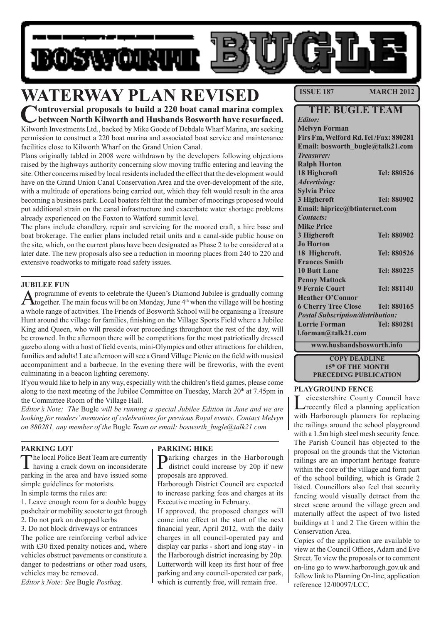

# **WATERWAY PLAN REVISED**

**Controversial proposals to build a 220 boat canal marina complex between North Kilworth and Husbands Bosworth have resurfaced.**  Kilworth Investments Ltd., backed by Mike Goode of Debdale Wharf Marina, are seeking

permission to construct a 220 boat marina and associated boat service and maintenance facilities close to Kilworth Wharf on the Grand Union Canal.

Plans originally tabled in 2008 were withdrawn by the developers following objections raised by the highways authority concerning slow moving traffic entering and leaving the site. Other concerns raised by local residents included the effect that the development would have on the Grand Union Canal Conservation Area and the over-development of the site, with a multitude of operations being carried out, which they felt would result in the area becoming a business park. Local boaters felt that the number of moorings proposed would put additional strain on the canal infrastructure and exacerbate water shortage problems already experienced on the Foxton to Watford summit level.

The plans include chandlery, repair and servicing for the moored craft, a hire base and boat brokerage. The earlier plans included retail units and a canal-side public house on the site, which, on the current plans have been designated as Phase 2 to be considered at a later date. The new proposals also see a reduction in mooring places from 240 to 220 and extensive roadworks to mitigate road safety issues.

#### **JUBILEE FUN**

A programme of events to celebrate the Queen's Diamond Jubilee is gradually coming<br>together. The main focus will be on Monday, June 4<sup>th</sup> when the village will be hosting a whole range of activities. The Friends of Bosworth School will be organising a Treasure Hunt around the village for families, finishing on the Village Sports Field where a Jubilee King and Queen, who will preside over proceedings throughout the rest of the day, will be crowned. In the afternoon there will be competitions for the most patriotically dressed gazebo along with a host of field events, mini-Olympics and other attractions for children, families and adults! Late afternoon will see a Grand Village Picnic on the field with musical accompaniment and a barbecue. In the evening there will be fireworks, with the event culminating in a beacon lighting ceremony.

If you would like to help in any way, especially with the children's field games, please come along to the next meeting of the Jubilee Committee on Tuesday, March  $20<sup>th</sup>$  at 7.45pm in the Committee Room of the Village Hall.

*Editor's Note: The* Bugle *will be running a special Jubilee Edition in June and we are looking for readers' memories of celebrations for previous Royal events. Contact Melvyn on 880281, any member of the* Bugle *Team or email: bosworth\_bugle@talk21.com* 

#### **PARKING LOT**

The local Police Beat Team are currently having a crack down on inconsiderate parking in the area and have issued some simple guidelines for motorists.

In simple terms the rules are:

1. Leave enough room for a double buggy pushchair or mobility scooter to get through 2. Do not park on dropped kerbs

3. Do not block driveways or entrances The police are reinforcing verbal advice with £30 fixed penalty notices and, where vehicles obstruct pavements or constitute a danger to pedestrians or other road users, vehicles may be removed.

*Editor's Note: See* Bugle *Postbag.*

#### **PARKING HIKE**

**Darking charges in the Harborough** district could increase by 20p if new proposals are approved.

Harborough District Council are expected to increase parking fees and charges at its Executive meeting in February.

If approved, the proposed changes will come into effect at the start of the next financial year, April 2012, with the daily charges in all council-operated pay and display car parks - short and long stay - in the Harborough district increasing by 20p. Lutterworth will keep its first hour of free parking and any council-operated car park, which is currently free, will remain free.

**ISSUE 187 MARCH 2012** 

| THE BUGLE TEAM                           |                    |  |  |  |
|------------------------------------------|--------------------|--|--|--|
| <b>Editor:</b>                           |                    |  |  |  |
| <b>Melvyn Forman</b>                     |                    |  |  |  |
| Firs Fm, Welford Rd. Tel /Fax: 880281    |                    |  |  |  |
| Email: bosworth_bugle@talk21.com         |                    |  |  |  |
| <b>Treasurer:</b>                        |                    |  |  |  |
| <b>Ralph Horton</b>                      |                    |  |  |  |
| 18 Highcroft                             | Tel: 880526        |  |  |  |
| <b>Advertising:</b>                      |                    |  |  |  |
| <b>Sylvia Price</b>                      |                    |  |  |  |
| 3 Highcroft                              | <b>Tel: 880902</b> |  |  |  |
| Email: hiprice@btinternet.com            |                    |  |  |  |
| <b>Contacts:</b>                         |                    |  |  |  |
| <b>Mike Price</b>                        |                    |  |  |  |
| 3 Highcroft                              | <b>Tel: 880902</b> |  |  |  |
| <b>Jo Horton</b>                         |                    |  |  |  |
| 18 Highcroft.                            | Tel: 880526        |  |  |  |
| <b>Frances Smith</b>                     |                    |  |  |  |
| <b>10 Butt Lane</b>                      | Tel: 880225        |  |  |  |
| <b>Penny Mattock</b>                     |                    |  |  |  |
| <b>9 Fernie Court</b>                    | Tel: 881140        |  |  |  |
| <b>Heather O'Connor</b>                  |                    |  |  |  |
| <b>6 Cherry Tree Close</b>               | Tel: 880165        |  |  |  |
| <b>Postal Subscription/distribution:</b> |                    |  |  |  |
| <b>Lorrie Forman</b>                     | Tel: 880281        |  |  |  |
| l.forman@talk21.com                      |                    |  |  |  |
| www.husbandsbosworth.info                |                    |  |  |  |

**COPY DEADLINE 15th OF THE MONTH PRECEDING PUBLICATION** 

#### **PLAYGROUND FENCE**

Leicestershire County Council have<br>
recently filed a planning application with Harborough planners for replacing the railings around the school playground with a 1.5m high steel mesh security fence. The Parish Council has objected to the proposal on the grounds that the Victorian railings are an important heritage feature within the core of the village and form part of the school building, which is Grade 2 listed. Councillors also feel that security fencing would visually detract from the street scene around the village green and materially affect the aspect of two listed buildings at 1 and 2 The Green within the Conservation Area.

Copies of the application are available to view at the Council Offices, Adam and Eve Street. To view the proposals or to comment on-line go to www.harborough.gov.uk and follow link to Planning On-line, application reference 12/00097/LCC.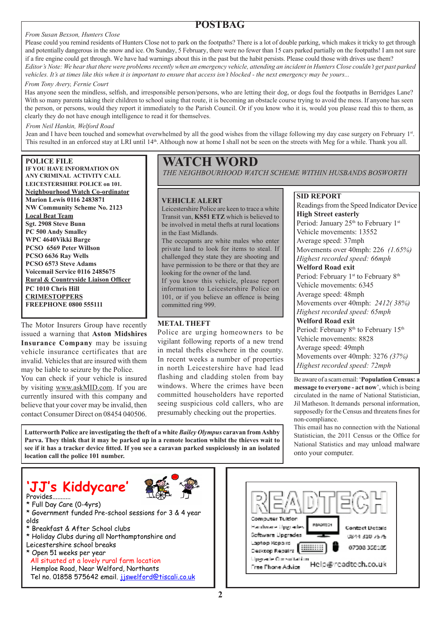#### *From Susan Bexson, Hunters Close*

### **POSTBAG**

Please could you remind residents of Hunters Close not to park on the footpaths? There is a lot of double parking, which makes it tricky to get through and potentially dangerous in the snow and ice. On Sunday, 5 February, there were no fewer than 15 cars parked partially on the footpaths! I am not sure if a fire engine could get through. We have had warnings about this in the past but the habit persists. Please could those with drives use them? *Editor's Note: We hear that there were problems recently when an emergency vehicle, attending an incident in Hunters Close couldn't get past parked vehicles. It's at times like this when it is important to ensure that access isn't blocked - the next emergency may be yours...*

#### *From Tony Avery, Fernie Court*

Has anyone seen the mindless, selfish, and irresponsible person/persons, who are letting their dog, or dogs foul the footpaths in Berridges Lane? With so many parents taking their children to school using that route, it is becoming an obstacle course trying to avoid the mess. If anyone has seen the person, or persons, would they report it immediately to the Parish Council. Or if you know who it is, would you please read this to them, as clearly they do not have enough intelligence to read it for themselves.

#### *From Neil Hankin, Welford Road*

Jean and I have been touched and somewhat overwhelmed by all the good wishes from the village following my day case surgery on February 1st. This resulted in an enforced stay at LRI until 14<sup>th</sup>. Although now at home I shall not be seen on the streets with Meg for a while. Thank you all.

#### **POLICE FILE**

**IF YOU HAVE INFORMATION ON ANY CRIMINAL ACTIVITY CALL LEICESTERSHIRE POLICE on 101. Neighbourhood Watch Co-ordinator Marion Lewis 0116 2483871 NW Community Scheme No. 2123 Local Beat Team Sgt. 2908 Steve Bunn PC 500 Andy Smalley WPC 4640Vikki Barge PCSO 6569 Peter Willson PCSO 6636 Ray Wells PCSO 6573 Steve Adams Voicemail Service 0116 2485675 Rural & Countryside Liaison Officer PC 1010 Chris Hill CRIMESTOPPERS FREEPHONE 0800 555111**

The Motor Insurers Group have recently issued a warning that **Aston Midshires Insurance Company** may be issuing vehicle insurance certificates that are invalid. Vehicles that are insured with them may be liable to seizure by the Police. You can check if your vehicle is insured

by visiting www.askMID.com. If you are currently insured with this company and believe that your cover may be invalid, then contact Consumer Direct on 08454 040506.

## **WATCH WORD**

*THE NEIGHBOURHOOD WATCH SCHEME WITHIN HUSBANDS BOSWORTH*

#### **VEHICLE ALERT**

Leicestershire Police are keen to trace a white Transit van, **KS51 ETZ** which is believed to be involved in metal thefts at rural locations in the East Midlands.

The occupants are white males who enter private land to look for items to steal. If challenged they state they are shooting and have permission to be there or that they are looking for the owner of the land.

If you know this vehicle, please report information to Leicestershire Police on 101, or if you believe an offence is being committed ring 999.

#### **METAL THEFT**

Police are urging homeowners to be vigilant following reports of a new trend in metal thefts elsewhere in the county. In recent weeks a number of properties in north Leicestershire have had lead flashing and cladding stolen from bay windows. Where the crimes have been committed householders have reported seeing suspicious cold callers, who are presumably checking out the properties.

**SID REPORT**

Readings from the Speed Indicator Device **High Street easterly** Period: January 25<sup>th</sup> to February 1<sup>st</sup> Vehicle movements: 13552 Average speed: 37mph Movements over 40mph: 226 *(1.65%) Highest recorded speed: 66mph* **Welford Road exit** Period: February 1<sup>st</sup> to February 8<sup>th</sup> Vehicle movements: 6345 Average speed: 48mph Movements over 40mph: *2412( 38%) Highest recorded speed: 65mph* **Welford Road exit** Period: February 8<sup>th</sup> to February 15<sup>th</sup> Vehicle movements: 8828 Average speed: 49mph Movements over 40mph: 3276 *(37%) Highest recorded speed: 72mph*

Be aware of a scam email: '**Population Census: a message to everyone - act now**', which is being circulated in the name of National Statistician, Jil Matheson. It demands personal information, supposedly for the Census and threatens fines for non-compliance.

This email has no connection with the National Statistician, the 2011 Census or the Office for National Statistics and may unload malware onto your computer.

**Lutterworth Police are investigating the theft of a white** *Bailey Olympus* **caravan from Ashby Parva. They think that it may be parked up in a remote location whilst the thieves wait to see if it has a tracker device fitted. If you see a caravan parked suspiciously in an isolated location call the police 101 number.**

## **'JJ's Kiddycare'** Provides...........



- \* Full Day Care (0-4yrs)
- \* Government funded Pre-school sessions for 3 & 4 year olds
- \* Breakfast & After School clubs
- \* Holiday Clubs during all Northamptonshire and
- Leicestershire school breaks
- \* Open 51 weeks per year All situated at a lovely rural farm location Hemploe Road, Near Welford, Northants Tel no. 01858 575642 email. jswelford@tiscali.co.uk

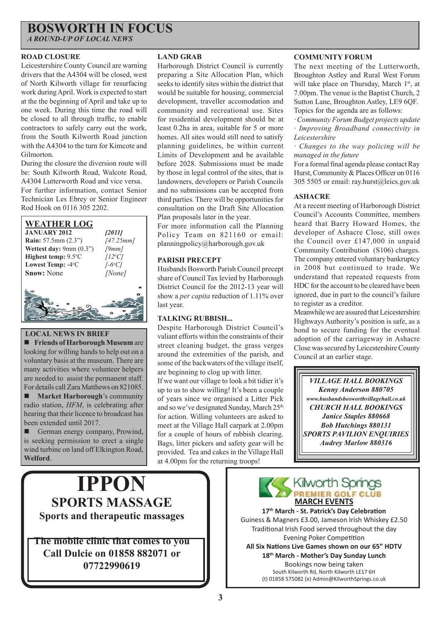# **BOSWORTH IN FOCUS**

*A ROUND-UP OF LOCAL NEWS*

#### **ROAD CLOSURE**

Leicestershire County Council are warning drivers that the A4304 will be closed, west of North Kilworth village for resurfacing work during April. Work is expected to start at the the beginning of April and take up to one week. During this time the road will be closed to all through traffic, to enable contractors to safely carry out the work, from the South Kilworth Road junction with the A4304 to the turn for Kimcote and Gilmorton.

During the closure the diversion route will be: South Kilworth Road, Walcote Road, A4304 Lutterworth Road and vice versa. For further information, contact Senior Technician Les Ebrey or Senior Engineer Rod Hook on 0116 305 2202.

#### **WEATHER LOG JANUARY 2012** *[2011]*

**Rain:** 57.5mm (2.3") *[47.25mm]* **Wettest day:** 9mm (0.3") *[9mm]* **Highest temp:** 9.5°C C *[12o C]* Lowest Temp: -4<sup>o</sup>C C *[-6o C]* **Snow:** None *[None]*

### **LOCAL NEWS IN BRIEF**

 **Friends of Harborough Museum** are looking for willing hands to help out on a voluntary basis at the museum. There are many activities where volunteer helpers are needed to assist the permanent staff. For details call Zara Matthews on 821085.

**Market Harborough**'s community radio station, *HFM*, is celebrating after hearing that their licence to broadcast has been extended until 2017.

German energy company, Prowind, is seeking permission to erect a single wind turbine on land off Elkington Road, **Welford**.

#### **LAND GRAB**

Harborough District Council is currently preparing a Site Allocation Plan, which seeks to identify sites within the district that would be suitable for housing, commercial development, traveller accomodation and community and recreational use. Sites for residential development should be at least 0.2ha in area, suitable for 5 or more homes. All sites would still need to satisfy planning guidelines, be within current Limits of Development and be available before 2028. Submissions must be made by those in legal control of the sites, that is landowners, developers or Parish Councils and no submissions can be accepted from third parties. There will be opportunities for consultation on the Draft Site Allocation Plan proposals later in the year.

For more information call the Planning Policy Team on 821160 or email: planningpolicy@harborough.gov.uk

#### **PARISH PRECEPT**

Husbands Bosworth Parish Council precept share of Council Tax levied by Harborough District Council for the 2012-13 year will show a *per capita* reduction of 1.11% over last year.

#### **TALKING RUBBISH...**

Despite Harborough District Council's valiant efforts within the constraints of their street cleaning budget, the grass verges around the extremities of the parish, and some of the backwaters of the village itself, are beginning to clog up with litter.

If we want our village to look a bit tidier it's up to us to show willing! It's been a couple of years since we organised a Litter Pick and so we've designated Sunday, March 25<sup>th</sup> for action. Willing volunteers are asked to meet at the Village Hall carpark at 2.00pm for a couple of hours of rubbish clearing. Bags, litter pickers and safety gear will be provided. Tea and cakes in the Village Hall at 4.00pm for the returning troops!

#### **COMMUNITY FORUM**

The next meeting of the Lutterworth, Broughton Astley and Rural West Forum will take place on Thursday, March 1<sup>st</sup>, at 7.00pm. The venue is the Baptist Church, 2 Sutton Lane, Broughton Astley, LE9 6QF. Topics for the agenda are as follows:

*· Community Forum Budget projects update · Improving Broadband connectivity in Leicestershire* 

*· Changes to the way policing will be managed in the future*

For a formal final agenda please contact Ray Hurst, Community & Places Officer on 0116 305 5505 or email: ray.hurst@leics.gov.uk

#### **ASHACRE**

At a recent meeting of Harborough District Council's Accounts Committee, members heard that Barry Howard Homes, the developer of Ashacre Close, still owes the Council over £147,000 in unpaid Community Contribution (S106) charges. The company entered voluntary bankruptcy in 2008 but continued to trade. We understand that repeated requests from HDC for the account to be cleared have been ignored, due in part to the council's failure to register as a creditor.

Meanwhile we are assured that Leicestershire Highways Authority's position is safe, as a bond to secure funding for the eventual adoption of the carriageway in Ashacre Close was secured by Leicestershire County Council at an earlier stage.

*VILLAGE HALL BOOKINGS Kenny Anderson 880705 www.husbandsbosworthvillagehall.co.uk CHURCH HALL BOOKINGS Janice Staples 880668 Bob Hutchings 880131 SPORTS PAVILION ENQUIRIES Audrey Marlow 880316* 

# **IPPON SPORTS MASSAGE Sports and therapeutic massages**

**The mobile clinic that comes to you Call Dulcie on 01858 882071 or 07722990619**



**17th March - St. Patrick's Day Celebration** Guiness & Magners £3.00, Jameson Irish Whiskey £2.50 Traditional Irish Food served throughout the day Evening Poker Competition **All Six Nations Live Games shown on our 65" HDTV 18th March - Mother's Day Sunday Lunch** Bookings now being taken South Kilworth Rd, North Kilworth LE17 6H (t) 01858 575082 (e) Admin@KilworthSprings.co.uk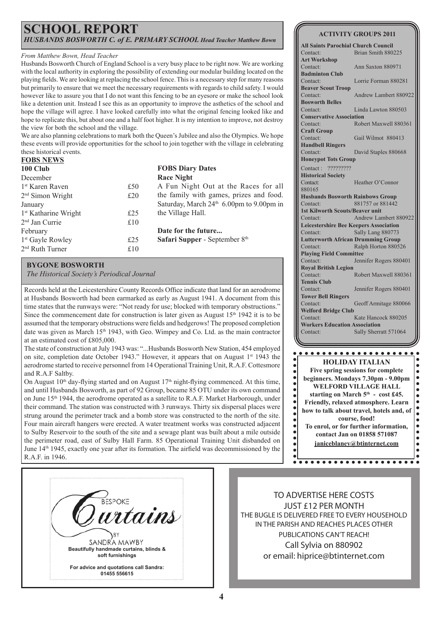### **SCHOOL REPORT** *HUSBANDS BOSWORTH C. of E. PRIMARY SCHOOL Head Teacher Matthew Bown*

#### *From Matthew Bown, Head Teacher*

Husbands Bosworth Church of England School is a very busy place to be right now. We are working with the local authority in exploring the possibility of extending our modular building located on the playing fields. We are looking at replacing the school fence. This is a necessary step for many reasons but primarily to ensure that we meet the necessary requirements with regards to child safety. I would however like to assure you that I do not want this fencing to be an eyesore or make the school look like a detention unit. Instead I see this as an opportunity to improve the asthetics of the school and hope the village will agree. I have looked carefully into what the original fencing looked like and hope to replicate this, but about one and a half foot higher. It is my intention to improve, not destroy the view for both the school and the village.

**FOBS NEWS** We are also planning celebrations to mark both the Queen's Jubilee and also the Olympics. We hope these events will provide opportunities for the school to join together with the village in celebrating these historical events.

| <u>FUBS NEWS</u>                 |     |                                                      |
|----------------------------------|-----|------------------------------------------------------|
| 100 Club                         |     | <b>FOBS Diary Dates</b>                              |
| December                         |     | <b>Race Night</b>                                    |
| 1 <sup>st</sup> Karen Raven      | £50 | A Fun Night Out at the Races for all                 |
| $2nd$ Simon Wright               | £20 | the family with games, prizes and food.              |
| January                          |     | Saturday, March 24 <sup>th</sup> 6.00pm to 9.00pm in |
| 1 <sup>st</sup> Katharine Wright | £25 | the Village Hall.                                    |
| $2nd$ Jan Currie                 | £10 |                                                      |
| February                         |     | Date for the future                                  |
| 1 <sup>st</sup> Gayle Rowley     | £25 | Safari Supper - September 8th                        |
| $2nd$ Ruth Turner                | £10 |                                                      |
|                                  |     |                                                      |

#### **BYGONE BOSWORTH**

*The Historical Society's Periodical Journal*

Records held at the Leicestershire County Records Office indicate that land for an aerodrome at Husbands Bosworth had been earmarked as early as August 1941. A document from this time states that the runways were: "Not ready for use; blocked with temporary obstructions." Since the commencement date for construction is later given as August  $15<sup>th</sup> 1942$  it is to be assumed that the temporary obstructions were fields and hedgerows! The proposed completion date was given as March 15<sup>th</sup> 1943, with Geo. Wimpey and Co. Ltd. as the main contractor at an estimated cost of £805,000.

The state of construction at July 1943 was: "...Husbands Bosworth New Station, 454 employed on site, completion date October 1943." However, it appears that on August  $1<sup>st</sup> 1943$  the aerodrome started to receive personnel from 14 Operational Training Unit, R.A.F. Cottesmore and R.A.F Saltby.

On August  $10<sup>th</sup>$  day-flying started and on August  $17<sup>th</sup>$  night-flying commenced. At this time, and until Husbands Bosworth, as part of 92 Group, became 85 OTU under its own command on June 15<sup>th</sup> 1944, the aerodrome operated as a satellite to R.A.F. Market Harborough, under their command. The station was constructed with 3 runways. Thirty six dispersal places were strung around the perimeter track and a bomb store was constructed to the north of the site. Four main aircraft hangers were erected. A water treatment works was constructed adjacent to Sulby Reservoir to the south of the site and a sewage plant was built about a mile outside the perimeter road, east of Sulby Hall Farm. 85 Operational Training Unit disbanded on June 14th 1945, exactly one year after its formation. The airfield was decommissioned by the R.A.F. in 1946.



TO ADVERTISE HERE COSTS JUST £12 PER MONTH THE BUGLE IS DELIVERED FREE TO EVERY HOUSEHOLD IN THE PARISH AND REACHES PLACES OTHER PUBLICATIONS CAN'T REACH! Call Sylvia on 880902 or email: hiprice@btinternet.com

**ACTIVITY GROUPS 2011 All Saints Parochial Church Council** Brian Smith 880225 **Art Workshop** Contact: Ann Saxton 880971 **Badminton Club** Contact: Lorrie Forman 880281 **Beaver Scout Troop** Contact: Andrew Lambert 880922 **Bosworth Belles** Linda Lawton 880503 **Conservative Association** Contact: Robert Maxwell 880361 **Craft Group**

Contact: Gail Wilmot 880413 **Handbell Ringers** Contact: David Staples 880668 **Honeypot Tots Group** Contact : ????????? **Historical Society** Contact: Heather O'Connor 880165 **Husbands Bosworth Rainbows Group** Contact: 881757 or 881442 **1st Kilworth Scouts/Beaver unit** Contact: Andrew Lambert 880922 **Leicestershire Bee Keepers Association** Contact: Sally Lang 880773 **Lutterworth African Drumming Group** Contact: Ralph Horton 880526 **Playing Field Committee** Contact: Jennifer Rogers 880401 **Royal British Legion** Robert Maxwell 880361 **Tennis Club** Contact: Jennifer Rogers 880401 **Tower Bell Ringers** Contact: Geoff Armitage 880066 **Welford Bridge Club** Contact: Kate Hancock 880205 **Workers Education Association** Contact: Sally Sherratt 571064



**4**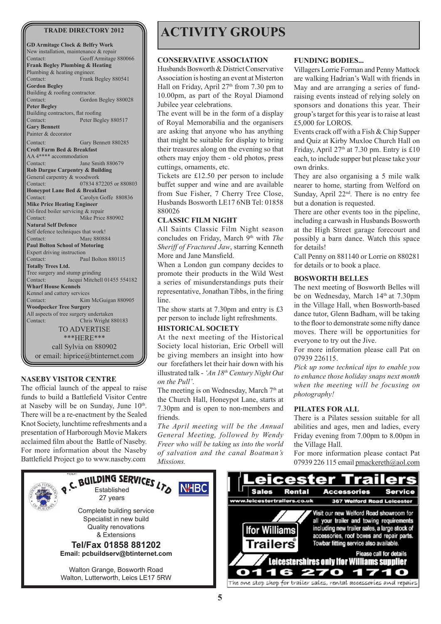**GD Armitage Clock & Belfry Work** New installation, maintenance & repair Contact: Geoff Armitage 880066 **Frank Begley Plumbing & Heating** Plumbing & heating engineer. Contact: Frank Begley 880541 **Gordon Begley** Building & roofing contractor. Contact: Gordon Begley 880028 **Peter Begley**  Building contractors, flat roofing Contact: Peter Begley 880517 **Gary Bennett** Painter & decorator Contact: Gary Bennett 880285 **Croft Farm Bed & Breakfast** AA 4\*\*\*\* accommodation Contact: Jane Smith 880679 **Rob Dargue Carpentry & Building** General carpentry & woodwork Contact: 07834 872205 or 880803 **Honeypot Lane Bed & Breakfast**<br>Contact: Carolyn Go Carolyn Goffe 880836 **Mike Price Heating Engineer**  Oil-fired boiler servicing & repair Contact: Mike Price 880902 **Natural Self Defence** Self defence techniques that work!<br>Contact: Marc 8808 Marc 880884 **Paul Bolton School of Motoring** Expert driving instruction Contact: Paul Bolton 880115 **Totally Trees Ltd.** Tree surgery and stump grinding Contact: Jacqui Mitchell 01455 554182 **Wharf House Kennels** Kennel and cattery services Contact: Kim McGuigan 880905 **Woodpecker Tree Surgery** All aspects of tree surgery undertaken Contact: Chris Wright 880183 TO ADVERTISE \*\*\*HERE\*\*\* call Sylvia on 880902 or email: hiprice@btinternet.com

#### **NASEBY VISITOR CENTRE**

The official launch of the appeal to raise funds to build a Battlefield Visitor Centre at Naseby will be on Sunday, June  $10<sup>th</sup>$ . There will be a re-enactment by the Sealed Knot Society, lunchtime refreshments and a presentation of Harborough Movie Makers acclaimed film about the Battle of Naseby. For more information about the Naseby Battlefield Project go to www.naseby.com

# TRADE DIRECTORY 2012 **ACTIVITY GROUPS**

#### **CONSERVATIVE ASSOCIATION**

Husbands Bosworth & District Conservative Association is hosting an event at Misterton Hall on Friday, April  $27<sup>th</sup>$  from 7.30 pm to 10.00pm, as part of the Royal Diamond Jubilee year celebrations.

The event will be in the form of a display of Royal Memorabilia and the organisers are asking that anyone who has anything that might be suitable for display to bring their treasures along on the evening so that others may enjoy them - old photos, press cuttings, ornaments, etc.

Tickets are £12.50 per person to include buffet supper and wine and are available from Sue Fisher, 7 Cherry Tree Close, Husbands Bosworth LE17 6NB Tel: 01858 880026

#### **CLASSIC FILM NIGHT**

All Saints Classic Film Night season concludes on Friday, March 9<sup>th</sup> with *The Sheriff of Fractured Jaw*, starring Kenneth More and Jane Mansfield.

When a London gun company decides to promote their products in the Wild West a series of misunderstandings puts their representative, Jonathan Tibbs, in the firing line.

The show starts at 7.30pm and entry is £3 per person to include light refreshments.

#### **HISTORICAL SOCIETY**

At the next meeting of the Historical Society local historian, Eric Orbell will be giving members an insight into how our forefathers let their hair down with his illustrated talk - *'An 18th Century Night Out on the Pull'*.

The meeting is on Wednesday, March  $7<sup>th</sup>$  at the Church Hall, Honeypot Lane, starts at 7.30pm and is open to non-members and friends.

*The April meeting will be the Annual General Meeting, followed by Wendy Freer who will be taking us into the world of salvation and the canal Boatman's Missions.*

#### **FUNDING BODIES...**

Villagers Lorrie Forman and Penny Mattock are walking Hadrian's Wall with friends in May and are arranging a series of fundraising events instead of relying solely on sponsors and donations this year. Their group's target for this year is to raise at least £5,000 for LOROS.

Events crack off with a Fish & Chip Supper and Quiz at Kirby Muxloe Church Hall on Friday, April 27<sup>th</sup> at 7.30 pm. Entry is £10 each, to include supper but please take your own drinks.

They are also organising a 5 mile walk nearer to home, starting from Welford on Sunday, April  $22<sup>nd</sup>$ . There is no entry fee but a donation is requested.

There are other events too in the pipeline, including a carwash in Husbands Bosworth at the High Street garage forecourt and possibly a barn dance. Watch this space for details!

Call Penny on 881140 or Lorrie on 880281 for details or to book a place.

#### **BOSWORTH BELLES**

The next meeting of Bosworth Belles will be on Wednesday, March 14<sup>th</sup> at 7.30pm in the Village Hall, when Bosworth-based dance tutor, Glenn Badham, will be taking to the floor to demonstrate some nifty dance moves. There will be opportunities for everyone to try out the Jive.

For more information please call Pat on 07939 226115.

*Pick up some technical tips to enable you to enhance those holiday snaps next month when the meeting will be focusing on photography!* 

#### **PILATES FOR ALL**

There is a Pilates session suitable for all abilities and ages, men and ladies, every Friday evening from 7.00pm to 8.00pm in the Village Hall.

For more information please contact Pat 07939 226 115 email pmackereth@aol.com

Service

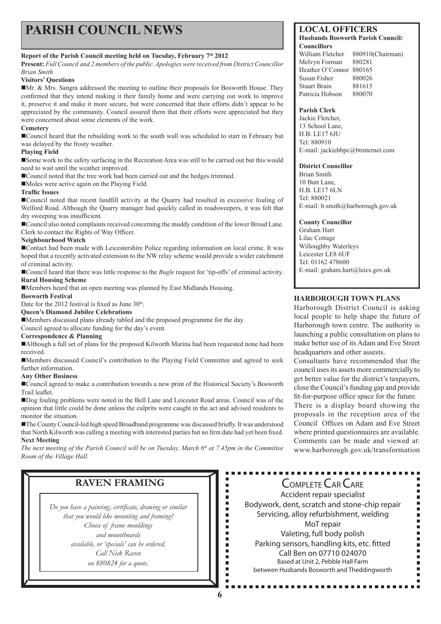# **PARISH COUNCIL NEWS** LOCAL OFFICERS

#### **Report of the Parish Council meeting held on Tuesday, February 7th 2012**

**Present:** *Full Council and 2 members of the public. Apologies were received from District Councillor Brian Smith*

#### **Visitors' Questions**

Mr. & Mrs. Sangra addressed the meeting to outline their proposals for Bosworth House. They confirmed that they intend making it their family home and were carrying out work to improve it, preserve it and make it more secure, but were concerned that their efforts didn't appear to be appreciated by the community. Council assured them that their efforts were appreciated but they were concerned about some elements of the work.

#### **Cemetery**

Council heard that the rebuilding work to the south wall was scheduled to start in February but was delayed by the frosty weather.

#### **Playing Field**

Some work to the safety surfacing in the Recreation Area was still to be carried out but this would need to wait until the weather improved.

■ Council noted that the tree work had been carried out and the hedges trimmed.

Moles were active again on the Playing Field.

#### **Traffic Issues**

Council noted that recent landfill activity at the Quarry had resulted in excessive fouling of Welford Road. Although the Quarry manager had quickly called in roadsweepers, it was felt that dry sweeping was insufficient.

Council also noted complaints received concerning the muddy condition of the lower Broad Lane. Clerk to contact the Rights of Way Officer.

#### **Neighbourhood Watch**

Contact had been made with Leicestershire Police regarding information on local crime. It was hoped that a recently activated extension to the NW relay scheme would provide a wider catchment of criminal activity.

Council heard that there was little response to the *Bugle* request for 'tip-offs' of criminal activity. **Rural Housing Scheme**

Members heard that an open meeting was planned by East Midlands Housing.

#### **Bosworth Festival**

Date for the 2012 festival is fixed as June  $30<sup>th</sup>$ .

#### **Queen's Diamond Jubilee Celebrations**

Members discussed plans already tabled and the proposed programme for the day.

Council agreed to allocate funding for the day's event.

#### **Correspondence & Planning**

■Although a full set of plans for the proposed Kilworth Marina had been requested none had been received.

Members discussed Council's contribution to the Playing Field Committee and agreed to seek further information.

#### **Any Other Business**

Council agreed to make a contribution towards a new print of the Historical Society's Bosworth Trail leaflet.

Dog fouling problems were noted in the Bell Lane and Leicester Road areas. Council was of the opinion that little could be done unless the culprits were caught in the act and advised residents to monitor the situation.

The County Council-led high speed Broadband programme was discussed briefly. It was understood that North Kilworth was calling a meeting with interested parties but no firm date had yet been fixed. **Next Meeting**

The next meeting of the Parish Council will be on Tuesday, March 6<sup>th</sup> at 7.45pm in the Committee *Room of the Village Hall.* 

*Do you have a painting, certificate, drawing or similar that you would like mounting and framing? Choice of frame mouldings and mountboards available, or 'specials' can be ordered. Call Nick Raven on 880824 for a quote.*

**Husbands Bosworth Parish Council: Councillors** 

William Fletcher 880910(Chairman) Melvyn Forman 880281 Heather O'Connor 880165 Susan Fisher 880026 Stuart Brain 881615 Patricia Hobson 880070

#### **Parish Clerk**

Jackie Fletcher, 13 School Lane, H.B. LE17 6JU Tel: 880910 E-mail: jackiehbpc@btinternet.com

#### **District Councillor**

Brian Smith 10 Butt Lane, H.B. LE17 6LN Tel: 880021 E-mail: b.smith@harborough.gov.uk

#### **County Councillor**

Graham Hart Lilac Cottage Willoughby Waterleys Leicester LE8 6UF Tel: 01162 478600 E-mail: graham.hart@leics.gov.uk

### **HARBOROUGH TOWN PLANS**

Harborough District Council is asking local people to help shape the future of Harborough town centre. The authority is launching a public consultation on plans to make better use of its Adam and Eve Street headquarters and other assests.

Consultants have recommended that the council uses its assets more commercially to get better value for the district's taxpayers, close the Council's funding gap and provide fit-for-purpose office space for the future.

There is a display board showing the proposals in the reception area of the Council Offices on Adam and Eve Street where printed questionnaires are available. Comments can be made and viewed at: www.harborough.gov.uk/transformation

п  $\blacksquare$ 

ā ā Ē Ē.

٠ Ė

**RAVEN FRAMING**<br>
<br> *ave a painting, certificate, drawing or similar*<br>
you would like mounting and framing?<br>
Choice of frame mouldings<br>
and mountboards<br>
<br> *and mountboards*<br>
<br> *and mountboards*<br>
<br>
<br>
<br>
<br>
<br>
<br>
<br>
<br>
<br>
<br>
<br>
<br>
<br>
<br> Accident repair specialist Bodywork, dent, scratch and stone-chip repair Servicing, alloy refurbishment, welding MoT repair Valeting, full body polish Parking sensors, handling kits, etc. fitted Call Ben on 07710 024070 Based at Unit 2, Pebble Hall Farm between Husbands Bosworth and Theddingworth

............

Ē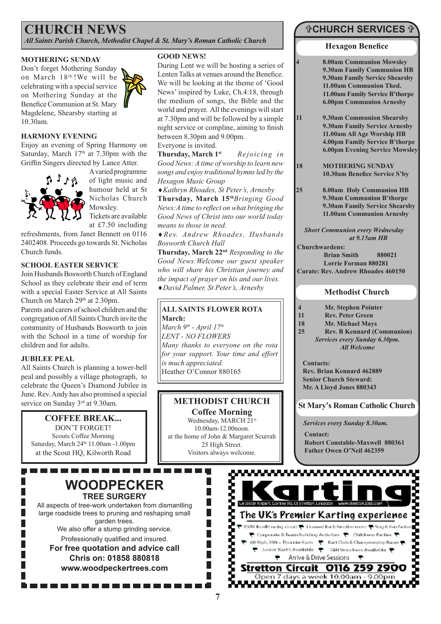# **CHURCH NEWS**

*All Saints Parish Church, Methodist Chapel & St. Mary's Roman Catholic Church*

#### **MOTHERING SUNDAY**

Don't forget Mothering Sunday on March 18th.!We will be celebrating with a special service on Mothering Sunday at the Benefice Communion at St. Mary Magdelene, Shearsby starting at 10.30am.

#### **HARMONY EVENING**

Enjoy an evening of Spring Harmony on Saturday, March  $17<sup>th</sup>$  at 7.30pm with the Griffin Singers directed by Lance Atter.



A varied programme of light music and humour held at St Nicholas Church Mowsley. Tickets are available at £7.50 including

refreshments, from Janet Bennett on 0116 2402408. Proceeds go towards St. Nicholas Church funds.

#### **SCHOOL EASTER SERVICE**

Join Husbands Bosworth Church of England School as they celebrate their end of term with a special Easter Service at All Saints Church on March 29<sup>th</sup> at 2.30pm.

Parents and carers of school children and the congregation of All Saints Church invite the community of Husbands Bosworth to join with the School in a time of worship for children and for adults.

#### **JUBILEE PEAL**

All Saints Church is planning a tower-bell peal and possibly a village photograph, to celebrate the Queen's Diamond Jubilee in June. Rev. Andy has also promised a special service on Sunday 3<sup>rd</sup> at 9.30am.

### **COFFEE BREAK...**

DON'T FORGET! Scouts Coffee Morning Saturday, March 24<sup>th</sup> 11.00am -1.00pm at the Scout HQ, Kilworth Road

## **WOODPECKER TREE SURGERY**

All aspects of tree-work undertaken from dismantling large roadside trees to pruning and reshaping small garden trees.

We also offer a stump grinding service. Professionally qualified and insured.

**For free quotation and advice call Chris on: 01858 880818 www.woodpeckertrees.com**

#### **GOOD NEWS!**

During Lent we will be hosting a series of Lenten Talks at venues around the Benefice. We will be looking at the theme of 'Good News' inspired by Luke, Ch.4:18, through the medium of songs, the Bible and the world and prayer. All the evenings will start at 7.30pm and will be followed by a simple night service or compline, aiming to finish between 8.30pm and 9.00pm.

Everyone is invited.

**Thursday, March 1st** *Rejoicing in Good News: A time of worship to learn new songs and enjoy traditional hymns led by the Hexagon Music Group* 

♦*Kathryn Rhoades, St Peter's, Arnesby*

**Thursday, March 15th***Bringing Good News:A time to reflect on what bringing the Good News of Christ into our world today means to those in need.*

♦*Rev. Andrew Rhoades, Husbands Bosworth Church Hall*

**Thursday, March 22nd** *Responding to the Good News:Welcome our guest speaker who will share his Christian journey and the impact of prayer on his and our lives.* ♦*David Palmer, St Peter's, Arnesby*

#### **ALL SAINTS FLOWER ROTA March:**

*March 9th - April 17th LENT - NO FLOWERS Many thanks to everyone on the rota for your support. Your time and effort is much appreciated.* Heather O'Connor 880165

## **METHODIST CHURCH**

**Coffee Morning** Wednesday, MARCH 21st 10.00am-12.00noon. at the home of John & Margaret Scurrah 25 High Street. Visitors always welcome.

> $\Box$ П П П

## **CHURCH SERVICES**

#### **Hexagon Benefice**

**4 8.00am Communion Mowsley 9.30am Family Communion HB 9.30am Family Service Shearsby 11.00am Communion Thed. 11.00am Family Service B'thorpe 6.00pm Communion Arnesby**

**11 9.30am Communion Shearsby 9.30am Family Service Arnesby 11.00am All Age Worship HB 4.00pm Family Service B'thorpe 6.00pm Evening Service Mowsley**

**18 MOTHERING SUNDAY 10.30am Benefice Service S'by**

**25 8.00am Holy Communion HB 9.30am Communion B'thorpe 9.30am Family Service Shearsby 11.00am Communion Arnesby**

*Short Communion every Wednesday at 9.15am HB*

**Churchwardens: Brian Smith 880021 Lorrie Forman 880281 Curate: Rev. Andrew Rhoades 460150**

#### **Methodist Church**

- **4 Mr. Stephen Pointer**
- **Rev. Peter Green**
- 18 Mr. Michael Mays<br>25 Rev. B Kennard (C
	- **25 Rev. B Kennard (Communion)** *Services every Sunday 6.30pm. All Welcome*

**Contacts: Rev. Brian Kennard 462889 Senior Church Steward: Mr. A Lloyd Jones 880343**

**St Mary's Roman Catholic Church**

*Services every Sunday 8.30am.*

**Contact: Robert Constable-Maxwell 880361 Father Owen O'Neil 462359**